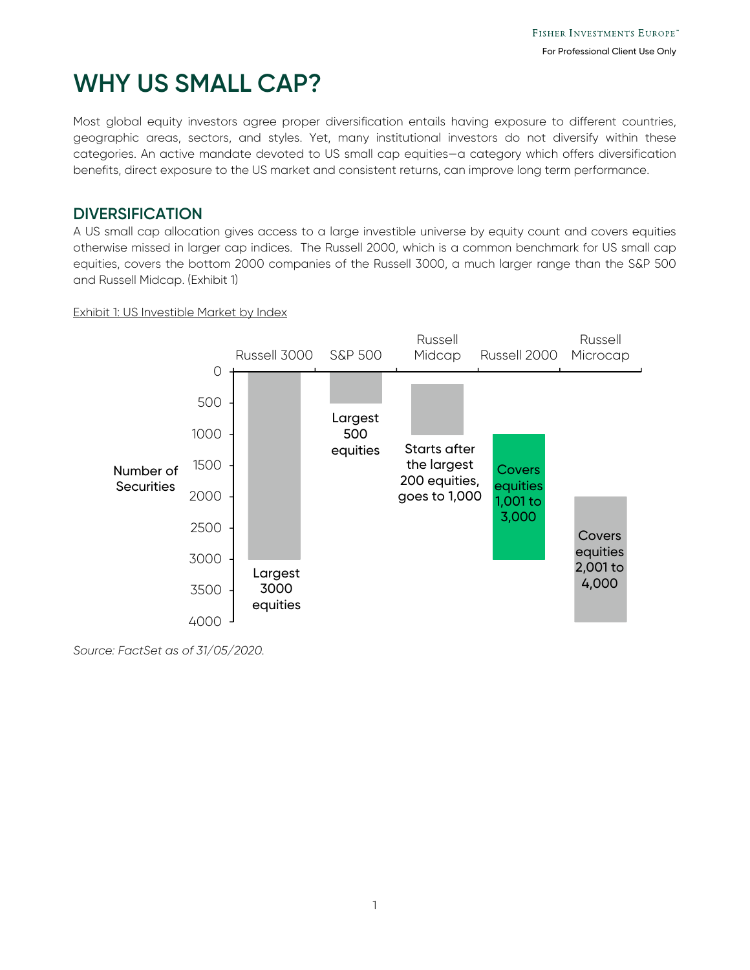# **WHY US SMALL CAP?**

Most global equity investors agree proper diversification entails having exposure to different countries, geographic areas, sectors, and styles. Yet, many institutional investors do not diversify within these categories. An active mandate devoted to US small cap equities—a category which offers diversification benefits, direct exposure to the US market and consistent returns, can improve long term performance.

# **DIVERSIFICATION**

A US small cap allocation gives access to a large investible universe by equity count and covers equities otherwise missed in larger cap indices. The Russell 2000, which is a common benchmark for US small cap equities, covers the bottom 2000 companies of the Russell 3000, a much larger range than the S&P 500 and Russell Midcap. (Exhibit 1)

### Exhibit 1: US Investible Market by Index



*Source: FactSet as of 31/05/2020.*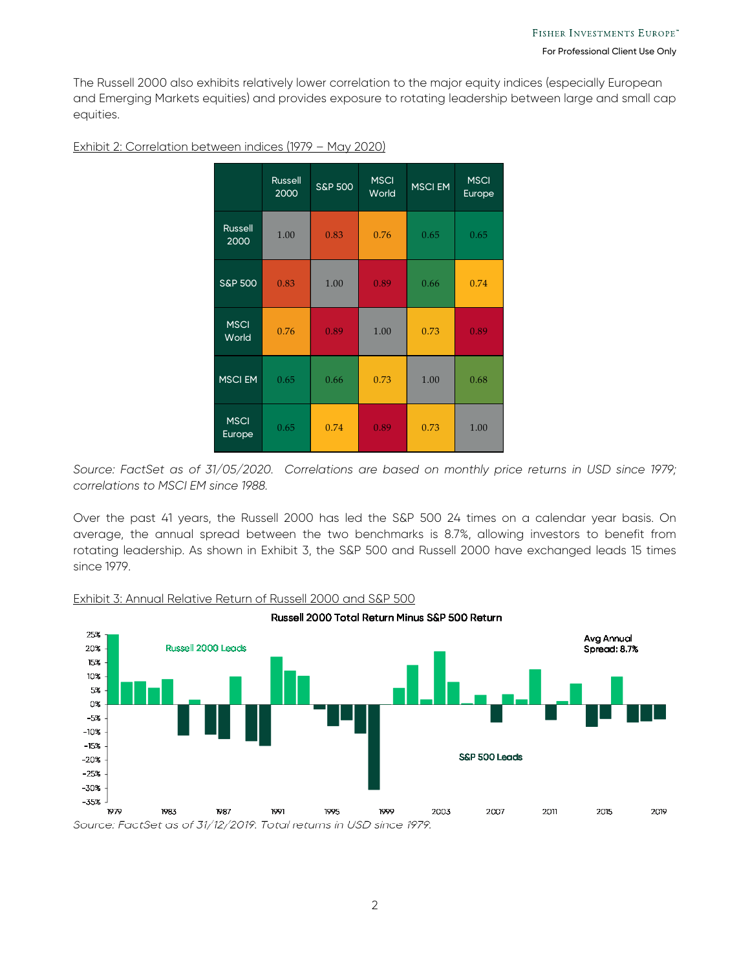The Russell 2000 also exhibits relatively lower correlation to the major equity indices (especially European and Emerging Markets equities) and provides exposure to rotating leadership between large and small cap equities.

|                        | <b>Russell</b><br>2000 | <b>S&amp;P 500</b> | <b>MSCI</b><br>World | <b>MSCI EM</b> | <b>MSCI</b><br>Europe |
|------------------------|------------------------|--------------------|----------------------|----------------|-----------------------|
| <b>Russell</b><br>2000 | 1.00                   | 0.83               | 0.76                 | 0.65           | 0.65                  |
| <b>S&amp;P 500</b>     | 0.83                   | 1.00               | 0.89                 | 0.66           | 0.74                  |
| <b>MSCI</b><br>World   | 0.76                   | 0.89               | 1.00                 | 0.73           | 0.89                  |
| <b>MSCI EM</b>         | 0.65                   | 0.66               | 0.73                 | 1.00           | 0.68                  |
| <b>MSCI</b><br>Europe  | 0.65                   | 0.74               | 0.89                 | 0.73           | 1.00                  |

#### Exhibit 2: Correlation between indices (1979 – May 2020)

*Source: FactSet as of 31/05/2020. Correlations are based on monthly price returns in USD since 1979; correlations to MSCI EM since 1988.* 

Over the past 41 years, the Russell 2000 has led the S&P 500 24 times on a calendar year basis. On average, the annual spread between the two benchmarks is 8.7%, allowing investors to benefit from rotating leadership. As shown in Exhibit 3, the S&P 500 and Russell 2000 have exchanged leads 15 times since 1979.



#### Exhibit 3: Annual Relative Return of Russell 2000 and S&P 500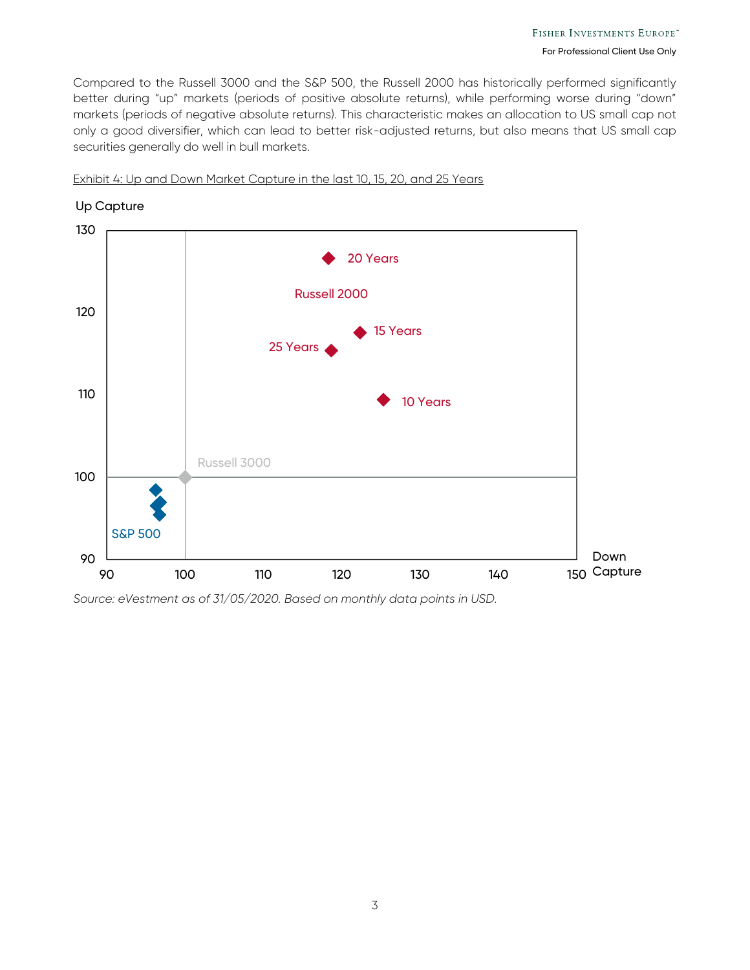Compared to the Russell 3000 and the S&P 500, the Russell 2000 has historically performed significantly better during "up" markets (periods of positive absolute returns), while performing worse during "down" markets (periods of negative absolute returns). This characteristic makes an allocation to US small cap not only a good diversifier, which can lead to better risk-adjusted returns, but also means that US small cap securities generally do well in bull markets.



Exhibit 4: Up and Down Market Capture in the last 10, 15, 20, and 25 Years

*Source: eVestment as of 31/05/2020. Based on monthly data points in USD.*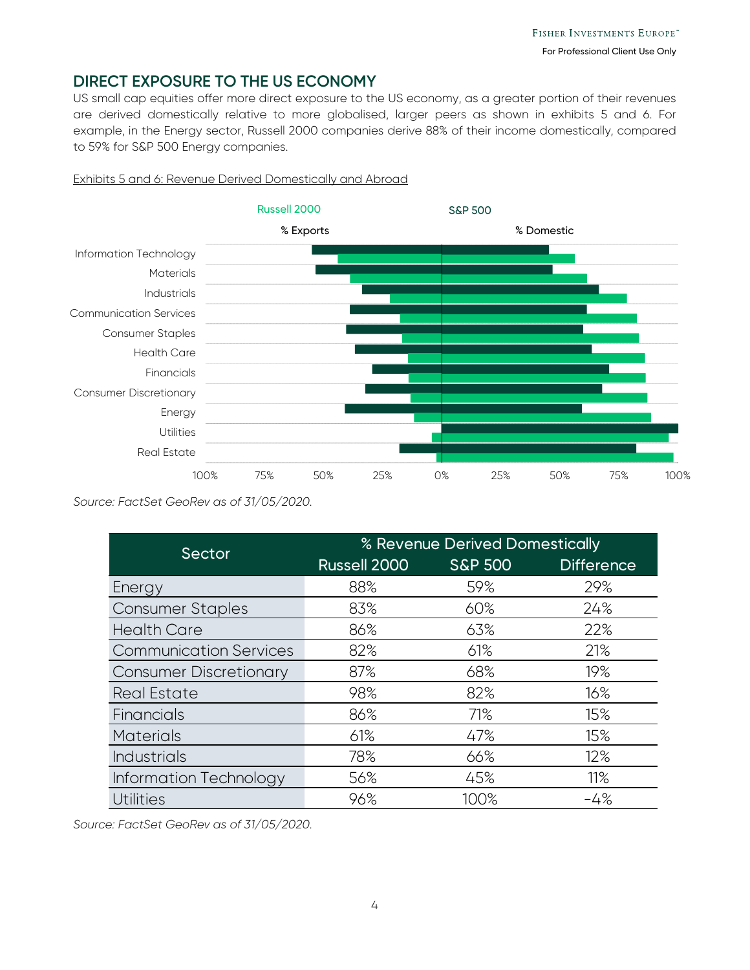# **DIRECT EXPOSURE TO THE US ECONOMY**

US small cap equities offer more direct exposure to the US economy, as a greater portion of their revenues are derived domestically relative to more globalised, larger peers as shown in exhibits 5 and 6. For example, in the Energy sector, Russell 2000 companies derive 88% of their income domestically, compared to 59% for S&P 500 Energy companies.



#### Exhibits 5 and 6: Revenue Derived Domestically and Abroad

*Source: FactSet GeoRev as of 31/05/2020.* 

| Sector                        | % Revenue Derived Domestically |                    |                   |  |  |
|-------------------------------|--------------------------------|--------------------|-------------------|--|--|
|                               | Russell 2000                   | <b>S&amp;P 500</b> | <b>Difference</b> |  |  |
| Energy                        | 88%                            | 59%                | 29%               |  |  |
| <b>Consumer Staples</b>       | 83%                            | 60%                | 24%               |  |  |
| <b>Health Care</b>            | 86%                            | 63%                | 22%               |  |  |
| <b>Communication Services</b> | 82%                            | 61%                | 21%               |  |  |
| <b>Consumer Discretionary</b> | 87%                            | 68%                | 19%               |  |  |
| <b>Real Estate</b>            | 98%                            | 82%                | 16%               |  |  |
| Financials                    | 86%                            | 71%                | 15%               |  |  |
| <b>Materials</b>              | 61%                            | 47%                | 15%               |  |  |
| <b>Industrials</b>            | 78%                            | 66%                | 12%               |  |  |
| Information Technology        | 56%                            | 45%                | 11%               |  |  |
| <b>Utilities</b>              | 96%                            | 100%               | $-4%$             |  |  |

*Source: FactSet GeoRev as of 31/05/2020.*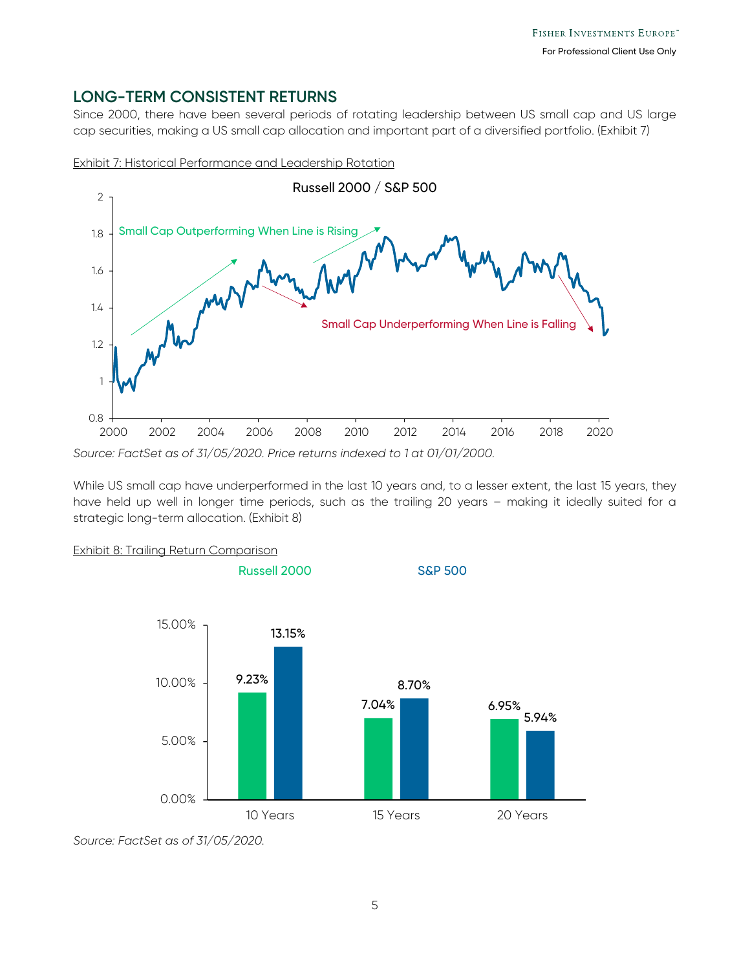# **LONG-TERM CONSISTENT RETURNS**

Since 2000, there have been several periods of rotating leadership between US small cap and US large cap securities, making a US small cap allocation and important part of a diversified portfolio. (Exhibit 7)





While US small cap have underperformed in the last 10 years and, to a lesser extent, the last 15 years, they have held up well in longer time periods, such as the trailing 20 years – making it ideally suited for a strategic long-term allocation. (Exhibit 8)





*Source: FactSet as of 31/05/2020.*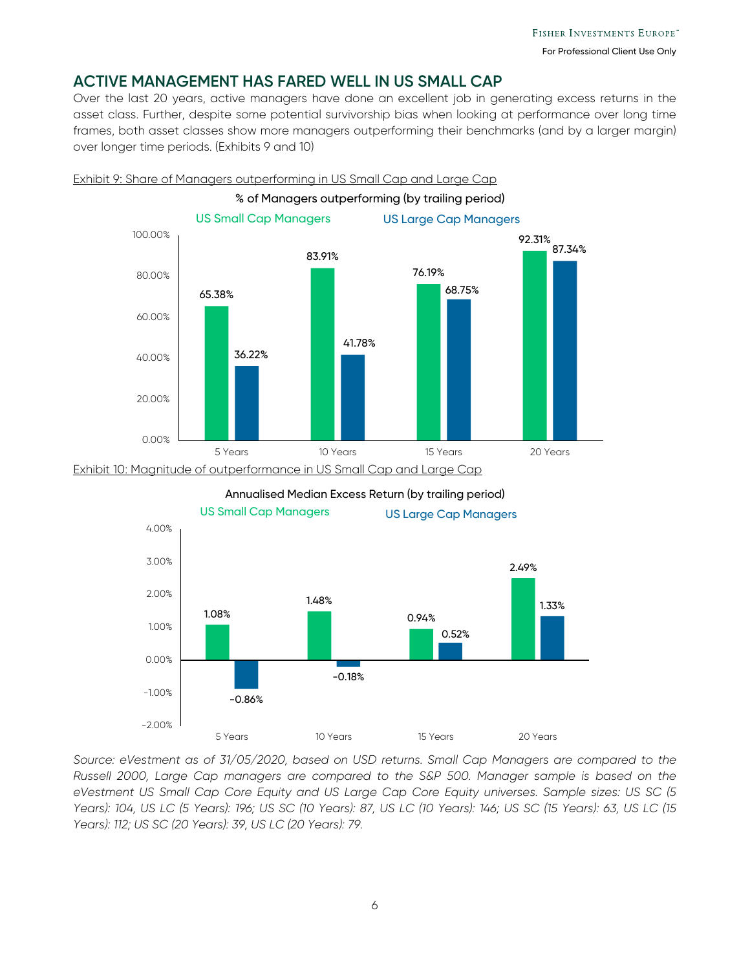# **ACTIVE MANAGEMENT HAS FARED WELL IN US SMALL CAP**

Over the last 20 years, active managers have done an excellent job in generating excess returns in the asset class. Further, despite some potential survivorship bias when looking at performance over long time frames, both asset classes show more managers outperforming their benchmarks (and by a larger margin) over longer time periods. (Exhibits 9 and 10)



Annualised Median Excess Return (by trailing period)



*Source: eVestment as of 31/05/2020, based on USD returns. Small Cap Managers are compared to the Russell 2000, Large Cap managers are compared to the S&P 500. Manager sample is based on the eVestment US Small Cap Core Equity and US Large Cap Core Equity universes. Sample sizes: US SC (5 Years): 104, US LC (5 Years): 196; US SC (10 Years): 87, US LC (10 Years): 146; US SC (15 Years): 63, US LC (15 Years): 112; US SC (20 Years): 39, US LC (20 Years): 79.*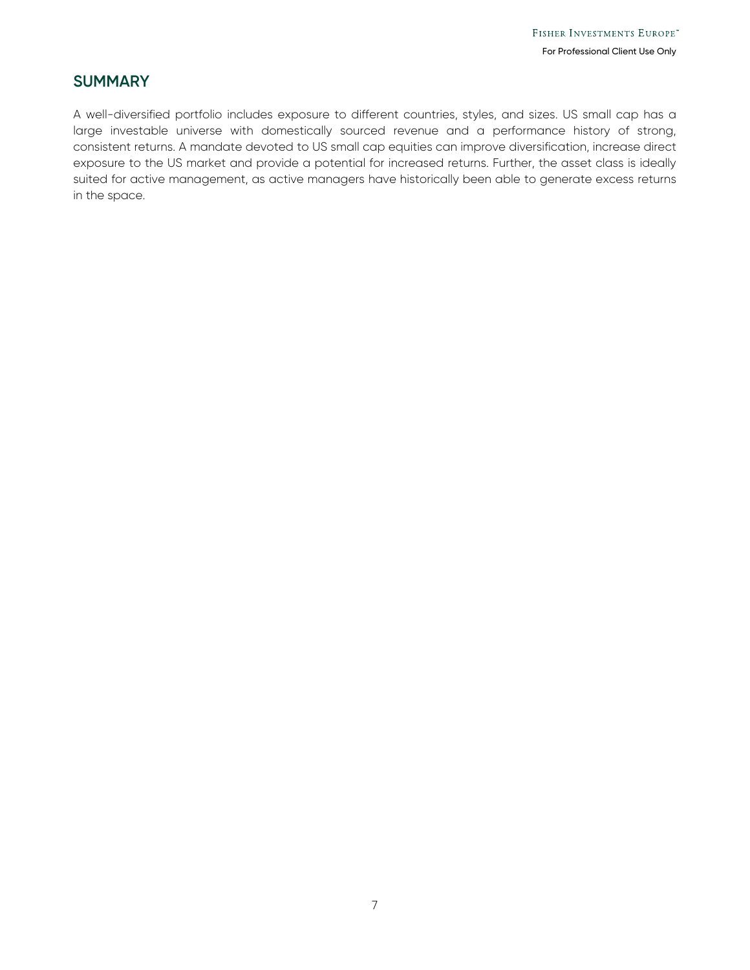# **SUMMARY**

A well-diversified portfolio includes exposure to different countries, styles, and sizes. US small cap has a large investable universe with domestically sourced revenue and a performance history of strong, consistent returns. A mandate devoted to US small cap equities can improve diversification, increase direct exposure to the US market and provide a potential for increased returns. Further, the asset class is ideally suited for active management, as active managers have historically been able to generate excess returns in the space.